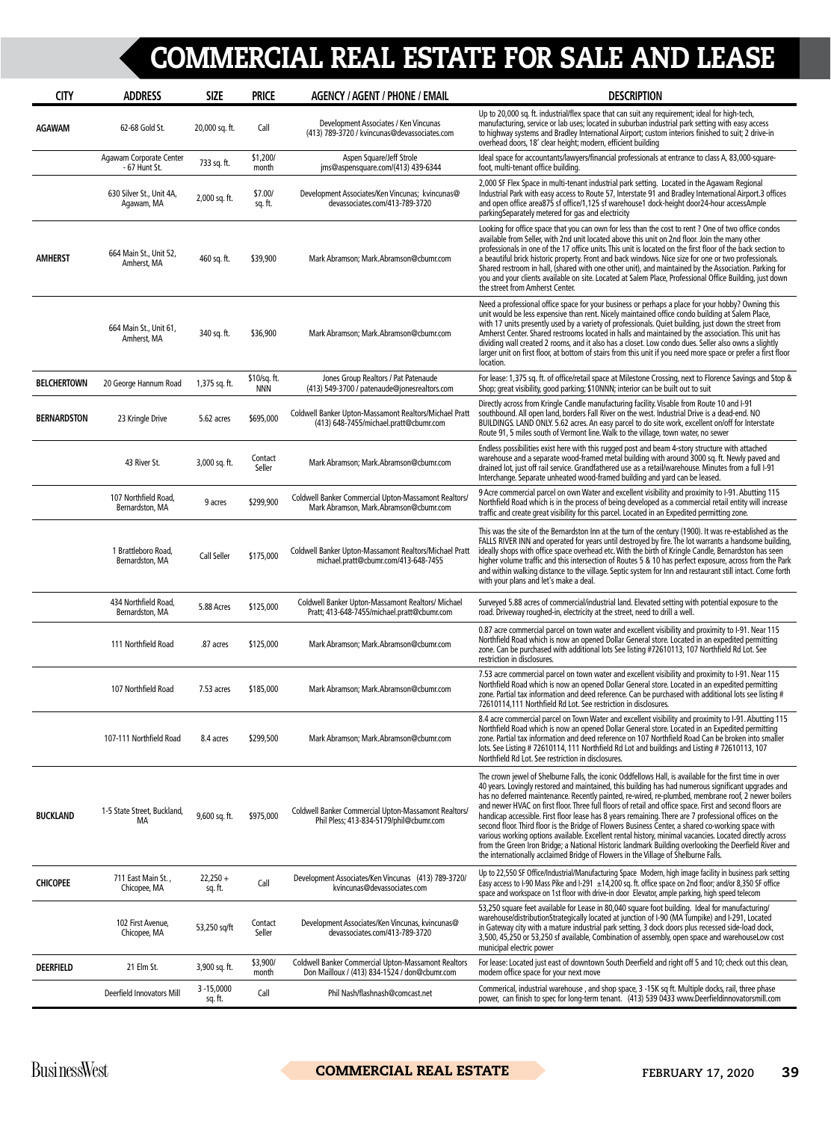| <b>CITY</b>        | <b>ADDRESS</b>                           | <b>SIZE</b>              | <b>PRICE</b>               | <b>AGENCY / AGENT / PHONE / EMAIL</b>                                                                       | <b>DESCRIPTION</b>                                                                                                                                                                                                                                                                                                                                                                                                                                                                                                                                                                                                                                                                                                                                                                                                                                                                                                                                         |
|--------------------|------------------------------------------|--------------------------|----------------------------|-------------------------------------------------------------------------------------------------------------|------------------------------------------------------------------------------------------------------------------------------------------------------------------------------------------------------------------------------------------------------------------------------------------------------------------------------------------------------------------------------------------------------------------------------------------------------------------------------------------------------------------------------------------------------------------------------------------------------------------------------------------------------------------------------------------------------------------------------------------------------------------------------------------------------------------------------------------------------------------------------------------------------------------------------------------------------------|
| <b>AGAWAM</b>      | 62-68 Gold St.                           | 20,000 sq. ft.           | Call                       | Development Associates / Ken Vincunas<br>(413) 789-3720 / kvincunas@devassociates.com                       | Up to 20,000 sq. ft. industrial/flex space that can suit any requirement; ideal for high-tech,<br>manufacturing, service or lab uses; located in suburban industrial park setting with easy access<br>to highway systems and Bradley International Airport; custom interiors finished to suit; 2 drive-in<br>overhead doors, 18' clear height; modern, efficient building                                                                                                                                                                                                                                                                                                                                                                                                                                                                                                                                                                                  |
|                    | Agawam Corporate Center<br>- 67 Hunt St. | 733 sq. ft.              | \$1,200/<br>month          | Aspen Square/Jeff Strole<br>jms@aspensquare.com/(413) 439-6344                                              | Ideal space for accountants/lawyers/financial professionals at entrance to class A, 83,000-square-<br>foot, multi-tenant office building.                                                                                                                                                                                                                                                                                                                                                                                                                                                                                                                                                                                                                                                                                                                                                                                                                  |
|                    | 630 Silver St., Unit 4A,<br>Agawam, MA   | 2,000 sq. ft.            | \$7.00/<br>sq. ft.         | Development Associates/Ken Vincunas; kvincunas@<br>devassociates.com/413-789-3720                           | 2,000 SF Flex Space in multi-tenant industrial park setting. Located in the Agawam Regional<br>Industrial Park with easy access to Route 57, Interstate 91 and Bradley International Airport.3 offices<br>and open office area875 sf office/1,125 sf warehouse1 dock-height door24-hour accessAmple<br>parking Separately metered for gas and electricity                                                                                                                                                                                                                                                                                                                                                                                                                                                                                                                                                                                                  |
| <b>AMHERST</b>     | 664 Main St., Unit 52,<br>Amherst, MA    | 460 sq. ft.              | \$39,900                   | Mark Abramson; Mark.Abramson@cbumr.com                                                                      | Looking for office space that you can own for less than the cost to rent ? One of two office condos<br>available from Seller, with 2nd unit located above this unit on 2nd floor. Join the many other<br>professionals in one of the 17 office units. This unit is located on the first floor of the back section to<br>a beautiful brick historic property. Front and back windows. Nice size for one or two professionals.<br>Shared restroom in hall, (shared with one other unit), and maintained by the Association. Parking for<br>you and your clients available on site. Located at Salem Place, Professional Office Building, just down<br>the street from Amherst Center.                                                                                                                                                                                                                                                                        |
|                    | 664 Main St., Unit 61,<br>Amherst, MA    | 340 sq. ft.              | \$36,900                   | Mark Abramson; Mark.Abramson@cbumr.com                                                                      | Need a professional office space for your business or perhaps a place for your hobby? Owning this<br>unit would be less expensive than rent. Nicely maintained office condo building at Salem Place,<br>with 17 units presently used by a variety of professionals. Quiet building, just down the street from<br>Amherst Center. Shared restrooms located in halls and maintained by the association. This unit has<br>dividing wall created 2 rooms, and it also has a closet. Low condo dues. Seller also owns a slightly<br>larger unit on first floor, at bottom of stairs from this unit if you need more space or prefer a first floor<br>location.                                                                                                                                                                                                                                                                                                  |
| <b>BELCHERTOWN</b> | 20 George Hannum Road                    | 1,375 sq. ft.            | \$10/sq. ft.<br><b>NNN</b> | Jones Group Realtors / Pat Patenaude<br>(413) 549-3700 / patenaude@jonesrealtors.com                        | For lease: 1,375 sq. ft. of office/retail space at Milestone Crossing, next to Florence Savings and Stop &<br>Shop; great visibility, good parking; \$10NNN; interior can be built out to suit                                                                                                                                                                                                                                                                                                                                                                                                                                                                                                                                                                                                                                                                                                                                                             |
| <b>BERNARDSTON</b> | 23 Kringle Drive                         | 5.62 acres               | \$695,000                  | Coldwell Banker Upton-Massamont Realtors/Michael Pratt<br>(413) 648-7455/michael.pratt@cbumr.com            | Directly across from Kringle Candle manufacturing facility. Visable from Route 10 and I-91<br>southbound. All open land, borders Fall River on the west. Industrial Drive is a dead-end. NO<br>BUILDINGS. LAND ONLY. 5.62 acres. An easy parcel to do site work, excellent on/off for Interstate<br>Route 91, 5 miles south of Vermont line. Walk to the village, town water, no sewer                                                                                                                                                                                                                                                                                                                                                                                                                                                                                                                                                                     |
|                    | 43 River St.                             | 3,000 sq. ft.            | Contact<br>Seller          | Mark Abramson; Mark.Abramson@cbumr.com                                                                      | Endless possibilities exist here with this rugged post and beam 4-story structure with attached<br>warehouse and a separate wood-framed metal building with around 3000 sq. ft. Newly paved and<br>drained lot, just off rail service. Grandfathered use as a retail/warehouse. Minutes from a full I-91<br>Interchange. Separate unheated wood-framed building and yard can be leased.                                                                                                                                                                                                                                                                                                                                                                                                                                                                                                                                                                    |
|                    | 107 Northfield Road,<br>Bernardston, MA  | 9 acres                  | \$299,900                  | Coldwell Banker Commercial Upton-Massamont Realtors/<br>Mark Abramson, Mark.Abramson@cbumr.com              | 9 Acre commercial parcel on own Water and excellent visibility and proximity to I-91. Abutting 115<br>Northfield Road which is in the process of being developed as a commercial retail entity will increase<br>traffic and create great visibility for this parcel. Located in an Expedited permitting zone.                                                                                                                                                                                                                                                                                                                                                                                                                                                                                                                                                                                                                                              |
|                    | 1 Brattleboro Road,<br>Bernardston, MA   | Call Seller              | \$175,000                  | Coldwell Banker Upton-Massamont Realtors/Michael Pratt<br>michael.pratt@cbumr.com/413-648-7455              | This was the site of the Bernardston Inn at the turn of the century (1900). It was re-established as the<br>FALLS RIVER INN and operated for years until destroyed by fire. The lot warrants a handsome building,<br>ideally shops with office space overhead etc. With the birth of Kringle Candle, Bernardston has seen<br>higher volume traffic and this intersection of Routes 5 & 10 has perfect exposure, across from the Park<br>and within walking distance to the village. Septic system for Inn and restaurant still intact. Come forth<br>with your plans and let's make a deal.                                                                                                                                                                                                                                                                                                                                                                |
|                    | 434 Northfield Road,<br>Bernardston, MA  | 5.88 Acres               | \$125,000                  | Coldwell Banker Upton-Massamont Realtors/ Michael<br>Pratt; 413-648-7455/michael.pratt@cbumr.com            | Surveyed 5.88 acres of commercial/industrial land. Elevated setting with potential exposure to the<br>road. Driveway roughed-in, electricity at the street, need to drill a well.                                                                                                                                                                                                                                                                                                                                                                                                                                                                                                                                                                                                                                                                                                                                                                          |
|                    | 111 Northfield Road                      | .87 acres                | \$125,000                  | Mark Abramson; Mark.Abramson@cbumr.com                                                                      | 0.87 acre commercial parcel on town water and excellent visibility and proximity to I-91. Near 115<br>Northfield Road which is now an opened Dollar General store. Located in an expedited permitting<br>zone. Can be purchased with additional lots See listing #72610113, 107 Northfield Rd Lot. See<br>restriction in disclosures.                                                                                                                                                                                                                                                                                                                                                                                                                                                                                                                                                                                                                      |
|                    | 107 Northfield Road                      | 7.53 acres               | \$185,000                  | Mark Abramson; Mark.Abramson@cbumr.com                                                                      | 7.53 acre commercial parcel on town water and excellent visibility and proximity to I-91. Near 115<br>Northfield Road which is now an opened Dollar General store. Located in an expedited permitting<br>zone. Partial tax information and deed reference. Can be purchased with additional lots see listing #<br>72610114,111 Northfield Rd Lot. See restriction in disclosures.                                                                                                                                                                                                                                                                                                                                                                                                                                                                                                                                                                          |
|                    | 107-111 Northfield Road                  | 8.4 acres                | \$299,500                  | Mark Abramson; Mark.Abramson@cbumr.com                                                                      | 8.4 acre commercial parcel on Town Water and excellent visibility and proximity to I-91. Abutting 115<br>Northfield Road which is now an opened Dollar General store. Located in an Expedited permitting<br>zone. Partial tax information and deed reference on 107 Northfield Road Can be broken into smaller<br>lots. See Listing #72610114, 111 Northfield Rd Lot and buildings and Listing #72610113, 107<br>Northfield Rd Lot. See restriction in disclosures.                                                                                                                                                                                                                                                                                                                                                                                                                                                                                        |
| <b>BUCKLAND</b>    | 1-5 State Street, Buckland,<br>МA        | $9,600$ sq. ft.          | \$975,000                  | Coldwell Banker Commercial Upton-Massamont Realtors/<br>Phil Pless; 413-834-5179/phil@cbumr.com             | The crown jewel of Shelburne Falls, the iconic Oddfellows Hall, is available for the first time in over<br>40 years. Lovingly restored and maintained, this building has had numerous significant upgrades and<br>has no deferred maintenance. Recently painted, re-wired, re-plumbed, membrane roof, 2 newer boilers<br>and newer HVAC on first floor. Three full floors of retail and office space. First and second floors are<br>handicap accessible. First floor lease has 8 years remaining. There are 7 professional offices on the<br>second floor. Third floor is the Bridge of Flowers Business Center, a shared co-working space with<br>various working options available. Excellent rental history, minimal vacancies. Located directly across<br>from the Green Iron Bridge; a National Historic landmark Building overlooking the Deerfield River and<br>the internationally acclaimed Bridge of Flowers in the Village of Shelburne Falls. |
| <b>CHICOPEE</b>    | 711 East Main St.,<br>Chicopee, MA       | $22,250 +$<br>sq. ft.    | Call                       | Development Associates/Ken Vincunas (413) 789-3720/<br>kvincunas@devassociates.com                          | Up to 22,550 SF Office/Industrial/Manufacturing Space Modern, high image facility in business park setting<br>Easy access to I-90 Mass Pike and I-291 ±14,200 sq. ft. office space on 2nd floor; and/or 8,350 SF office<br>space and workspace on 1st floor with drive-in door Elevator, ample parking, high speed telecom                                                                                                                                                                                                                                                                                                                                                                                                                                                                                                                                                                                                                                 |
|                    | 102 First Avenue,<br>Chicopee, MA        | 53,250 sq/ft             | Contact<br>Seller          | Development Associates/Ken Vincunas, kvincunas@<br>devassociates.com/413-789-3720                           | 53,250 square feet available for Lease in 80,040 square foot building. Ideal for manufacturing/<br>warehouse/distributionStrategically located at junction of I-90 (MA Turnpike) and I-291, Located<br>in Gateway city with a mature industrial park setting, 3 dock doors plus recessed side-load dock,<br>3,500, 45,250 or 53,250 sf available, Combination of assembly, open space and warehouseLow cost<br>municipal electric power                                                                                                                                                                                                                                                                                                                                                                                                                                                                                                                    |
| <b>DEERFIELD</b>   | 21 Elm St.                               | 3,900 sq. ft.            | \$3,900/<br>month          | <b>Coldwell Banker Commercial Upton-Massamont Realtors</b><br>Don Mailloux / (413) 834-1524 / don@cbumr.com | For lease: Located just east of downtown South Deerfield and right off 5 and 10; check out this clean,<br>modern office space for your next move                                                                                                                                                                                                                                                                                                                                                                                                                                                                                                                                                                                                                                                                                                                                                                                                           |
|                    | Deerfield Innovators Mill                | $3 - 15,0000$<br>sq. ft. | Call                       | Phil Nash/flashnash@comcast.net                                                                             | Commerical, industrial warehouse, and shop space, 3 -15K sq ft. Multiple docks, rail, three phase<br>power, can finish to spec for long-term tenant. (413) 539 0433 www.Deerfieldinnovatorsmill.com                                                                                                                                                                                                                                                                                                                                                                                                                                                                                                                                                                                                                                                                                                                                                        |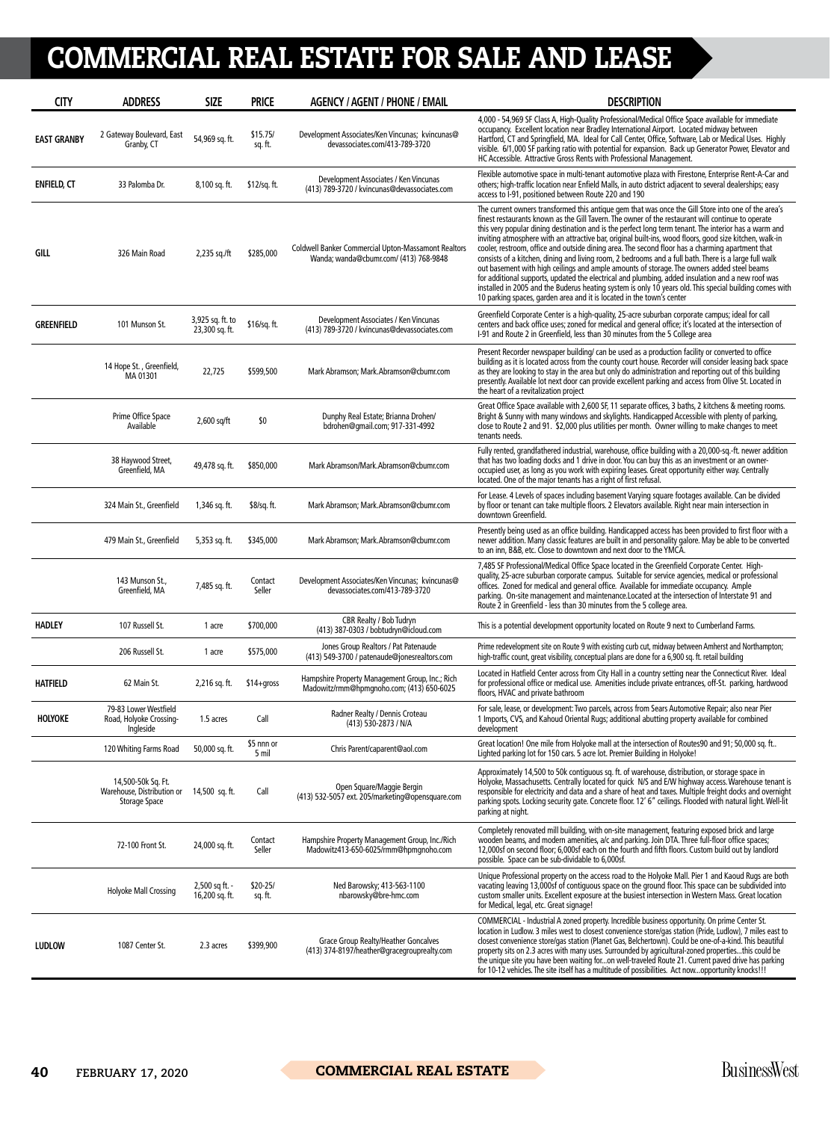| <b>CITY</b>        | <b>ADDRESS</b>                                                    | <b>SIZE</b>                        | <b>PRICE</b>         | <b>AGENCY / AGENT / PHONE / EMAIL</b>                                                         | <b>DESCRIPTION</b>                                                                                                                                                                                                                                                                                                                                                                                                                                                                                                                                                                                                                                                                                                                                                                                                                                                                                                                                                                                                               |
|--------------------|-------------------------------------------------------------------|------------------------------------|----------------------|-----------------------------------------------------------------------------------------------|----------------------------------------------------------------------------------------------------------------------------------------------------------------------------------------------------------------------------------------------------------------------------------------------------------------------------------------------------------------------------------------------------------------------------------------------------------------------------------------------------------------------------------------------------------------------------------------------------------------------------------------------------------------------------------------------------------------------------------------------------------------------------------------------------------------------------------------------------------------------------------------------------------------------------------------------------------------------------------------------------------------------------------|
| <b>EAST GRANBY</b> | 2 Gateway Boulevard, East<br>Granby, CT                           | 54,969 sq. ft.                     | \$15.75/<br>sq. ft.  | Development Associates/Ken Vincunas; kvincunas@<br>devassociates.com/413-789-3720             | 4,000 - 54,969 SF Class A, High-Quality Professional/Medical Office Space available for immediate<br>occupancy. Excellent location near Bradley International Airport. Located midway between<br>Hartford, CT and Springfield, MA. Ideal for Call Center, Office, Software, Lab or Medical Uses. Highly<br>visible. 6/1,000 SF parking ratio with potential for expansion. Back up Generator Power, Elevator and<br>HC Accessible. Attractive Gross Rents with Professional Management.                                                                                                                                                                                                                                                                                                                                                                                                                                                                                                                                          |
| <b>ENFIELD, CT</b> | 33 Palomba Dr.                                                    | 8,100 sq. ft.                      | $$12/sq.$ ft.        | Development Associates / Ken Vincunas<br>(413) 789-3720 / kvincunas@devassociates.com         | Flexible automotive space in multi-tenant automotive plaza with Firestone, Enterprise Rent-A-Car and<br>others; high-traffic location near Enfield Malls, in auto district adjacent to several dealerships; easy<br>access to 1-91, positioned between Route 220 and 190                                                                                                                                                                                                                                                                                                                                                                                                                                                                                                                                                                                                                                                                                                                                                         |
| GILL               | 326 Main Road                                                     | 2,235 sq./ft                       | \$285,000            | Coldwell Banker Commercial Upton-Massamont Realtors<br>Wanda; wanda@cbumr.com/ (413) 768-9848 | The current owners transformed this antique gem that was once the Gill Store into one of the area's<br>finest restaurants known as the Gill Tavern. The owner of the restaurant will continue to operate<br>this very popular dining destination and is the perfect long term tenant. The interior has a warm and<br>inviting atmosphere with an attractive bar, original built-ins, wood floors, good size kitchen, walk-in<br>cooler, restroom, office and outside dining area. The second floor has a charming apartment that<br>consists of a kitchen, dining and living room, 2 bedrooms and a full bath. There is a large full walk<br>out basement with high ceilings and ample amounts of storage. The owners added steel beams<br>for additional supports, updated the electrical and plumbing, added insulation and a new roof was<br>installed in 2005 and the Buderus heating system is only 10 years old. This special building comes with<br>10 parking spaces, garden area and it is located in the town's center |
| <b>GREENFIELD</b>  | 101 Munson St.                                                    | 3,925 sq. ft. to<br>23,300 sq. ft. | \$16/sq. ft.         | Development Associates / Ken Vincunas<br>(413) 789-3720 / kvincunas@devassociates.com         | Greenfield Corporate Center is a high-quality, 25-acre suburban corporate campus; ideal for call<br>centers and back office uses; zoned for medical and general office; it's located at the intersection of<br>I-91 and Route 2 in Greenfield, less than 30 minutes from the 5 College area                                                                                                                                                                                                                                                                                                                                                                                                                                                                                                                                                                                                                                                                                                                                      |
|                    | 14 Hope St., Greenfield,<br>MA 01301                              | 22,725                             | \$599,500            | Mark Abramson; Mark.Abramson@cbumr.com                                                        | Present Recorder newspaper building/can be used as a production facility or converted to office<br>building as it is located across from the county court house. Recorder will consider leasing back space<br>as they are looking to stay in the area but only do administration and reporting out of this building<br>presently. Available lot next door can provide excellent parking and access from Olive St. Located in<br>the heart of a revitalization project                                                                                                                                                                                                                                                                                                                                                                                                                                                                                                                                                            |
|                    | Prime Office Space<br>Available                                   | $2,600$ sq/ft                      | \$0                  | Dunphy Real Estate; Brianna Drohen/<br>bdrohen@gmail.com; 917-331-4992                        | Great Office Space available with 2,600 SF, 11 separate offices, 3 baths, 2 kitchens & meeting rooms.<br>Bright & Sunny with many windows and skylights. Handicapped Accessible with plenty of parking,<br>close to Route 2 and 91. \$2,000 plus utilities per month. Owner willing to make changes to meet<br>tenants needs.                                                                                                                                                                                                                                                                                                                                                                                                                                                                                                                                                                                                                                                                                                    |
|                    | 38 Haywood Street,<br>Greenfield, MA                              | 49,478 sq. ft.                     | \$850,000            | Mark Abramson/Mark.Abramson@cbumr.com                                                         | Fully rented, grandfathered industrial, warehouse, office building with a 20,000-sg.-ft. newer addition<br>that has two loading docks and 1 drive in door. You can buy this as an investment or an owner-<br>occupied user, as long as you work with expiring leases. Great opportunity either way. Centrally<br>located. One of the major tenants has a right of first refusal.                                                                                                                                                                                                                                                                                                                                                                                                                                                                                                                                                                                                                                                 |
|                    | 324 Main St., Greenfield                                          | 1,346 sq. ft.                      | \$8/sq. ft.          | Mark Abramson; Mark.Abramson@cbumr.com                                                        | For Lease. 4 Levels of spaces including basement Varying square footages available. Can be divided<br>by floor or tenant can take multiple floors. 2 Elevators available. Right near main intersection in<br>downtown Greenfield.                                                                                                                                                                                                                                                                                                                                                                                                                                                                                                                                                                                                                                                                                                                                                                                                |
|                    | 479 Main St., Greenfield                                          | 5,353 sq. ft.                      | \$345,000            | Mark Abramson; Mark.Abramson@cbumr.com                                                        | Presently being used as an office building. Handicapped access has been provided to first floor with a<br>newer addition. Many classic features are built in and personality galore. May be able to be converted<br>to an inn, B&B, etc. Close to downtown and next door to the YMCA.                                                                                                                                                                                                                                                                                                                                                                                                                                                                                                                                                                                                                                                                                                                                            |
|                    | 143 Munson St.,<br>Greenfield, MA                                 | 7,485 sq. ft.                      | Contact<br>Seller    | Development Associates/Ken Vincunas; kvincunas@<br>devassociates.com/413-789-3720             | 7,485 SF Professional/Medical Office Space located in the Greenfield Corporate Center. High-<br>quality, 25-acre suburban corporate campus. Suitable for service agencies, medical or professional<br>offices. Zoned for medical and general office. Available for immediate occupancy. Ample<br>parking. On-site management and maintenance.Located at the intersection of Interstate 91 and<br>Route 2 in Greenfield - less than 30 minutes from the 5 college area.                                                                                                                                                                                                                                                                                                                                                                                                                                                                                                                                                           |
| <b>HADLEY</b>      | 107 Russell St.                                                   | 1 acre                             | \$700,000            | <b>CBR Realty / Bob Tudryn</b><br>(413) 387-0303 / bobtudryn@icloud.com                       | This is a potential development opportunity located on Route 9 next to Cumberland Farms.                                                                                                                                                                                                                                                                                                                                                                                                                                                                                                                                                                                                                                                                                                                                                                                                                                                                                                                                         |
|                    | 206 Russell St.                                                   | 1 acre                             | \$575,000            | Jones Group Realtors / Pat Patenaude<br>(413) 549-3700 / patenaude@jonesrealtors.com          | Prime redevelopment site on Route 9 with existing curb cut, midway between Amherst and Northampton;<br>high-traffic count, great visibility, conceptual plans are done for a 6,900 sq. ft. retail building                                                                                                                                                                                                                                                                                                                                                                                                                                                                                                                                                                                                                                                                                                                                                                                                                       |
| <b>HATFIELD</b>    | 62 Main St.                                                       | 2,216 sq. ft.                      | $$14+qross$          | Hampshire Property Management Group, Inc.; Rich<br>Madowitz/rmm@hpmqnoho.com; (413) 650-6025  | Located in Hatfield Center across from City Hall in a country setting near the Connecticut River. Ideal<br>for professional office or medical use. Amenities include private entrances, off-St. parking, hardwood<br>floors, HVAC and private bathroom                                                                                                                                                                                                                                                                                                                                                                                                                                                                                                                                                                                                                                                                                                                                                                           |
| HOLYOKE            | 79-83 Lower Westfield<br>Road, Holyoke Crossing-<br>Ingleside     | 1.5 acres                          | Call                 | Radner Realty / Dennis Croteau<br>(413) 530-2873 / N/A                                        | For sale, lease, or development: Two parcels, across from Sears Automotive Repair; also near Pier<br>1 Imports, CVS, and Kahoud Oriental Rugs; additional abutting property available for combined<br>development                                                                                                                                                                                                                                                                                                                                                                                                                                                                                                                                                                                                                                                                                                                                                                                                                |
|                    | 120 Whiting Farms Road                                            | 50,000 sq. ft.                     | \$5 nnn or<br>5 mil  | Chris Parent/caparent@aol.com                                                                 | Great location! One mile from Holyoke mall at the intersection of Routes90 and 91; 50,000 sq. ft<br>Lighted parking lot for 150 cars. 5 acre lot. Premier Building in Holyoke!                                                                                                                                                                                                                                                                                                                                                                                                                                                                                                                                                                                                                                                                                                                                                                                                                                                   |
|                    | 14,500-50k Sq. Ft.<br>Warehouse, Distribution or<br>Storage Space | 14,500 sq. ft.                     | Call                 | Open Square/Maggie Bergin<br>(413) 532-5057 ext. 205/marketing@opensquare.com                 | Approximately 14,500 to 50k contiguous sq. ft. of warehouse, distribution, or storage space in<br>Holyoke, Massachusetts. Centrally located for quick N/S and E/W highway access. Warehouse tenant is<br>responsible for electricity and data and a share of heat and taxes. Multiple freight docks and overnight<br>parking spots. Locking security gate. Concrete floor. 12' 6" ceilings. Flooded with natural light. Well-lit<br>parking at night.                                                                                                                                                                                                                                                                                                                                                                                                                                                                                                                                                                            |
|                    | 72-100 Front St.                                                  | 24,000 sq. ft.                     | Contact<br>Seller    | Hampshire Property Management Group, Inc./Rich<br>Madowitz413-650-6025/rmm@hpmgnoho.com       | Completely renovated mill building, with on-site management, featuring exposed brick and large<br>wooden beams, and modern amenities, a/c and parking. Join DTA. Three full-floor office spaces;<br>12,000sf on second floor; 6,000sf each on the fourth and fifth floors. Custom build out by landlord<br>possible. Space can be sub-dividable to 6,000sf.                                                                                                                                                                                                                                                                                                                                                                                                                                                                                                                                                                                                                                                                      |
|                    | Holyoke Mall Crossing                                             | 2,500 sq ft. -<br>16,200 sq. ft.   | $$20-25/$<br>sq. ft. | Ned Barowsky; 413-563-1100<br>nbarowsky@bre-hmc.com                                           | Unique Professional property on the access road to the Holyoke Mall. Pier 1 and Kaoud Rugs are both<br>vacating leaving 13,000sf of contiguous space on the ground floor. This space can be subdivided into<br>custom smaller units. Excellent exposure at the busiest intersection in Western Mass. Great location<br>for Medical, legal, etc. Great signage!                                                                                                                                                                                                                                                                                                                                                                                                                                                                                                                                                                                                                                                                   |
| <b>LUDLOW</b>      | 1087 Center St.                                                   | 2.3 acres                          | \$399,900            | Grace Group Realty/Heather Goncalves<br>(413) 374-8197/heather@gracegrouprealty.com           | COMMERCIAL - Industrial A zoned property. Incredible business opportunity. On prime Center St.<br>location in Ludlow. 3 miles west to closest convenience store/gas station (Pride, Ludlow), 7 miles east to<br>closest convenience store/gas station (Planet Gas, Belchertown). Could be one-of-a-kind. This beautiful<br>property sits on 2.3 acres with many uses. Surrounded by agricultural-zoned propertiesthis could be<br>the unique site you have been waiting foron well-traveled Route 21. Current paved drive has parking<br>for 10-12 vehicles. The site itself has a multitude of possibilities. Act nowopportunity knocks!!!                                                                                                                                                                                                                                                                                                                                                                                      |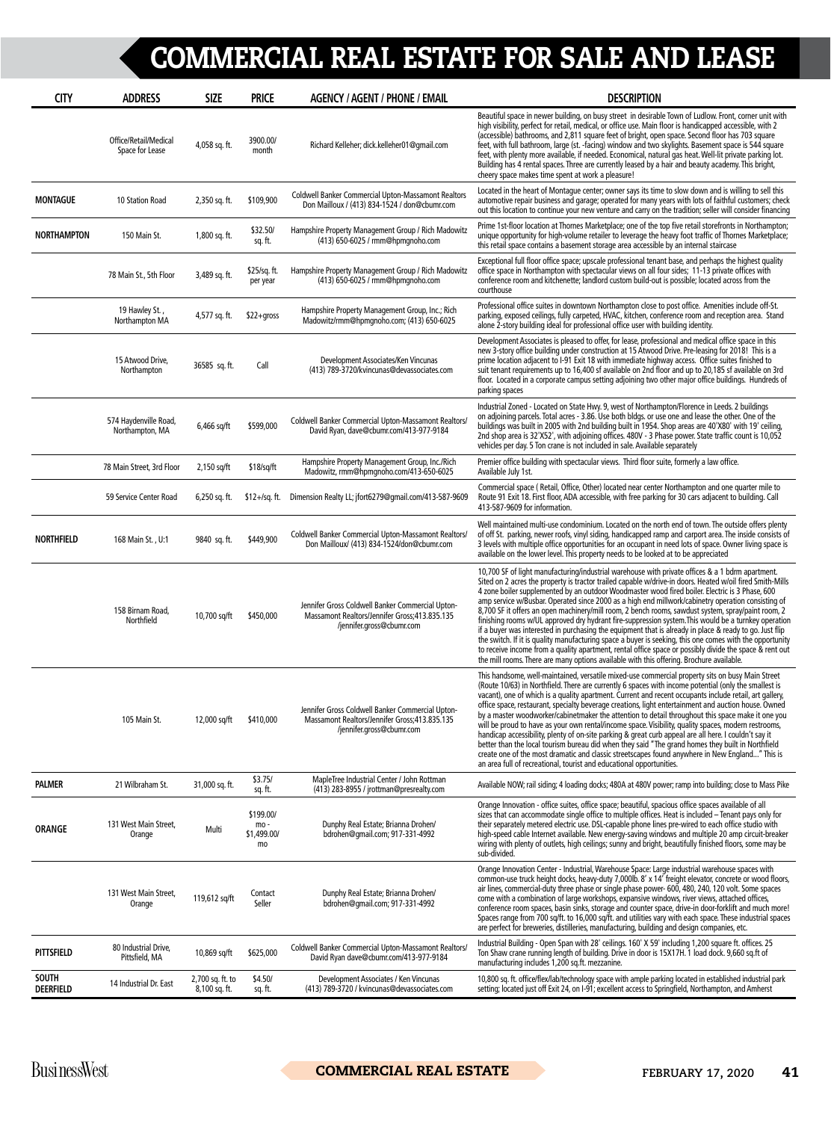| <b>CITY</b>                      | <b>ADDRESS</b>                           | <b>SIZE</b>                       | <b>PRICE</b>                          | <b>AGENCY / AGENT / PHONE / EMAIL</b>                                                                                          | <b>DESCRIPTION</b>                                                                                                                                                                                                                                                                                                                                                                                                                                                                                                                                                                                                                                                                                                                                                                                                                                                                                                                                                                                                                                                 |
|----------------------------------|------------------------------------------|-----------------------------------|---------------------------------------|--------------------------------------------------------------------------------------------------------------------------------|--------------------------------------------------------------------------------------------------------------------------------------------------------------------------------------------------------------------------------------------------------------------------------------------------------------------------------------------------------------------------------------------------------------------------------------------------------------------------------------------------------------------------------------------------------------------------------------------------------------------------------------------------------------------------------------------------------------------------------------------------------------------------------------------------------------------------------------------------------------------------------------------------------------------------------------------------------------------------------------------------------------------------------------------------------------------|
|                                  | Office/Retail/Medical<br>Space for Lease | 4,058 sq. ft.                     | 3900.00/<br>month                     | Richard Kelleher; dick.kelleher01@gmail.com                                                                                    | Beautiful space in newer building, on busy street in desirable Town of Ludlow. Front, corner unit with<br>high visibility, perfect for retail, medical, or office use. Main floor is handicapped accessible, with 2<br>(accessible) bathrooms, and 2,811 square feet of bright, open space. Second floor has 703 square<br>feet, with full bathroom, large (st. -facing) window and two skylights. Basement space is 544 square<br>feet, with plenty more available, if needed. Economical, natural gas heat. Well-lit private parking lot.<br>Building has 4 rental spaces. Three are currently leased by a hair and beauty academy. This bright,<br>cheery space makes time spent at work a pleasure!                                                                                                                                                                                                                                                                                                                                                            |
| <b>MONTAGUE</b>                  | 10 Station Road                          | 2,350 sq. ft.                     | \$109,900                             | <b>Coldwell Banker Commercial Upton-Massamont Realtors</b><br>Don Mailloux / (413) 834-1524 / don@cbumr.com                    | Located in the heart of Montague center; owner says its time to slow down and is willing to sell this<br>automotive repair business and garage; operated for many years with lots of faithful customers; check<br>out this location to continue your new venture and carry on the tradition; seller will consider financing                                                                                                                                                                                                                                                                                                                                                                                                                                                                                                                                                                                                                                                                                                                                        |
| NORTHAMPTON                      | 150 Main St.                             | 1,800 sq. ft.                     | \$32.50/<br>sq. ft.                   | Hampshire Property Management Group / Rich Madowitz<br>(413) 650-6025 / rmm@hpmqnoho.com                                       | Prime 1st-floor location at Thornes Marketplace; one of the top five retail storefronts in Northampton;<br>unique opportunity for high-volume retailer to leverage the heavy foot traffic of Thornes Marketplace;<br>this retail space contains a basement storage area accessible by an internal staircase                                                                                                                                                                                                                                                                                                                                                                                                                                                                                                                                                                                                                                                                                                                                                        |
|                                  | 78 Main St., 5th Floor                   | 3,489 sq. ft.                     | \$25/sq. ft.<br>per year              | Hampshire Property Management Group / Rich Madowitz<br>(413) 650-6025 / rmm@hpmqnoho.com                                       | Exceptional full floor office space; upscale professional tenant base, and perhaps the highest quality<br>office space in Northampton with spectacular views on all four sides; 11-13 private offices with<br>conference room and kitchenette; landlord custom build-out is possible; located across from the<br>courthouse                                                                                                                                                                                                                                                                                                                                                                                                                                                                                                                                                                                                                                                                                                                                        |
|                                  | 19 Hawley St.,<br>Northampton MA         | 4,577 sq. ft.                     | \$22+gross                            | Hampshire Property Management Group, Inc.; Rich<br>Madowitz/rmm@hpmgnoho.com; (413) 650-6025                                   | Professional office suites in downtown Northampton close to post office. Amenities include off-St.<br>parking, exposed ceilings, fully carpeted, HVAC, kitchen, conference room and reception area. Stand<br>alone 2-story building ideal for professional office user with building identity.                                                                                                                                                                                                                                                                                                                                                                                                                                                                                                                                                                                                                                                                                                                                                                     |
|                                  | 15 Atwood Drive,<br>Northampton          | 36585 sq. ft.                     | Call                                  | Development Associates/Ken Vincunas<br>(413) 789-3720/kvincunas@devassociates.com                                              | Development Associates is pleased to offer, for lease, professional and medical office space in this<br>new 3-story office building under construction at 15 Atwood Drive. Pre-leasing for 2018! This is a<br>prime location adjacent to I-91 Exit 18 with immediate highway access. Office suites finished to<br>suit tenant requirements up to 16,400 sf available on 2nd floor and up to 20,185 sf available on 3rd<br>floor. Located in a corporate campus setting adjoining two other major office buildings. Hundreds of<br>parking spaces                                                                                                                                                                                                                                                                                                                                                                                                                                                                                                                   |
|                                  | 574 Haydenville Road,<br>Northampton, MA | $6,466$ sq/ft                     | \$599,000                             | Coldwell Banker Commercial Upton-Massamont Realtors/<br>David Ryan, dave@cbumr.com/413-977-9184                                | Industrial Zoned - Located on State Hwy. 9, west of Northampton/Florence in Leeds. 2 buildings<br>on adjoining parcels. Total acres - 3.86. Use both bldgs. or use one and lease the other. One of the<br>buildings was built in 2005 with 2nd building built in 1954. Shop areas are 40'X80' with 19' ceiling,<br>2nd shop area is 32'X52', with adjoining offices. 480V - 3 Phase power. State traffic count is 10,052<br>vehicles per day. 5 Ton crane is not included in sale. Available separately                                                                                                                                                                                                                                                                                                                                                                                                                                                                                                                                                            |
|                                  | 78 Main Street, 3rd Floor                | 2,150 sq/ft                       | \$18/sq/ft                            | Hampshire Property Management Group, Inc./Rich<br>Madowitz, rmm@hpmgnoho.com/413-650-6025                                      | Premier office building with spectacular views. Third floor suite, formerly a law office.<br>Available July 1st.                                                                                                                                                                                                                                                                                                                                                                                                                                                                                                                                                                                                                                                                                                                                                                                                                                                                                                                                                   |
|                                  | 59 Service Center Road                   | $6,250$ sq. ft.                   | $$12 + / sq.$ ft.                     | Dimension Realty LL; jfort6279@qmail.com/413-587-9609                                                                          | Commercial space (Retail, Office, Other) located near center Northampton and one quarter mile to<br>Route 91 Exit 18. First floor, ADA accessible, with free parking for 30 cars adjacent to building. Call<br>413-587-9609 for information.                                                                                                                                                                                                                                                                                                                                                                                                                                                                                                                                                                                                                                                                                                                                                                                                                       |
| <b>NORTHFIELD</b>                | 168 Main St., U:1                        | 9840 sq. ft.                      | \$449,900                             | Coldwell Banker Commercial Upton-Massamont Realtors/<br>Don Mailloux/ (413) 834-1524/don@cbumr.com                             | Well maintained multi-use condominium. Located on the north end of town. The outside offers plenty<br>of off St. parking, newer roofs, vinyl siding, handicapped ramp and carport area. The inside consists of<br>3 levels with multiple office opportunities for an occupant in need lots of space. Owner living space is<br>available on the lower level. This property needs to be looked at to be appreciated                                                                                                                                                                                                                                                                                                                                                                                                                                                                                                                                                                                                                                                  |
|                                  | 158 Birnam Road,<br>Northfield           | 10,700 sq/ft                      | \$450,000                             | Jennifer Gross Coldwell Banker Commercial Upton-<br>Massamont Realtors/Jennifer Gross;413.835.135<br>/jennifer.gross@cbumr.com | 10,700 SF of light manufacturing/industrial warehouse with private offices & a 1 bdrm apartment.<br>Sited on 2 acres the property is tractor trailed capable w/drive-in doors. Heated w/oil fired Smith-Mills<br>4 zone boiler supplemented by an outdoor Woodmaster wood fired boiler. Electric is 3 Phase, 600<br>amp service w/Busbar. Operated since 2000 as a high end millwork/cabinetry operation consisting of<br>8,700 SF it offers an open machinery/mill room, 2 bench rooms, sawdust system, spray/paint room, 2<br>finishing rooms w/UL approved dry hydrant fire-suppression system. This would be a turnkey operation<br>if a buyer was interested in purchasing the equipment that is already in place & ready to go. Just flip<br>the switch. If it is quality manufacturing space a buyer is seeking, this one comes with the opportunity<br>to receive income from a quality apartment, rental office space or possibly divide the space & rent out<br>the mill rooms. There are many options available with this offering. Brochure available. |
|                                  | 105 Main St.                             | 12,000 sq/ft                      | \$410,000                             | Jennifer Gross Coldwell Banker Commercial Upton-<br>Massamont Realtors/Jennifer Gross;413.835.135<br>/jennifer.gross@cbumr.com | This handsome, well-maintained, versatile mixed-use commercial property sits on busy Main Street<br>(Route 10/63) in Northfield. There are currently 6 spaces with income potential (only the smallest is<br>vacant), one of which is a quality apartment. Current and recent occupants include retail, art gallery,<br>office space, restaurant, specialty beverage creations, light entertainment and auction house. Owned<br>by a master woodworker/cabinetmaker the attention to detail throughout this space make it one you<br>will be proud to have as your own rental/income space. Visibility, quality spaces, modern restrooms,<br>handicap accessibility, plenty of on-site parking & great curb appeal are all here. I couldn't say it<br>better than the local tourism bureau did when they said "The grand homes they built in Northfield<br>create one of the most dramatic and classic streetscapes found anywhere in New England" This is<br>an area full of recreational, tourist and educational opportunities.                                 |
| <b>PALMER</b>                    | 21 Wilbraham St.                         | 31,000 sq. ft.                    | \$3.75/<br>sq. ft.                    | MapleTree Industrial Center / John Rottman<br>(413) 283-8955 / jrottman@presrealty.com                                         | Available NOW; rail siding; 4 loading docks; 480A at 480V power; ramp into building; close to Mass Pike                                                                                                                                                                                                                                                                                                                                                                                                                                                                                                                                                                                                                                                                                                                                                                                                                                                                                                                                                            |
| <b>ORANGE</b>                    | 131 West Main Street,<br>Orange          | Multi                             | \$199.00/<br>mo-<br>\$1,499.00/<br>mo | Dunphy Real Estate; Brianna Drohen/<br>bdrohen@qmail.com; 917-331-4992                                                         | Orange Innovation - office suites, office space; beautiful, spacious office spaces available of all<br>sizes that can accommodate single office to multiple offices. Heat is included - Tenant pays only for<br>their separately metered electric use. DSL-capable phone lines pre-wired to each office studio with<br>high-speed cable Internet available. New energy-saving windows and multiple 20 amp circuit-breaker<br>wiring with plenty of outlets, high ceilings; sunny and bright, beautifully finished floors, some may be<br>sub-divided.                                                                                                                                                                                                                                                                                                                                                                                                                                                                                                              |
|                                  | 131 West Main Street,<br>Orange          | 119,612 sq/ft                     | Contact<br>Seller                     | Dunphy Real Estate; Brianna Drohen/<br>bdrohen@qmail.com; 917-331-4992                                                         | Orange Innovation Center - Industrial, Warehouse Space: Large industrial warehouse spaces with<br>common-use truck height docks, heavy-duty 7,000lb. 8' x 14' freight elevator, concrete or wood floors,<br>air lines, commercial-duty three phase or single phase power- 600, 480, 240, 120 volt. Some spaces<br>come with a combination of large workshops, expansive windows, river views, attached offices,<br>conference room spaces, basin sinks, storage and counter space, drive-in door-forklift and much more!<br>Spaces range from 700 sq/ft. to 16,000 sq/ft. and utilities vary with each space. These industrial spaces<br>are perfect for breweries, distilleries, manufacturing, building and design companies, etc.                                                                                                                                                                                                                                                                                                                               |
| <b>PITTSFIELD</b>                | 80 Industrial Drive,<br>Pittsfield, MA   | 10,869 sq/ft                      | \$625,000                             | Coldwell Banker Commercial Upton-Massamont Realtors/<br>David Ryan dave@cbumr.com/413-977-9184                                 | Industrial Building - Open Span with 28' ceilings. 160' X 59' including 1,200 square ft. offices. 25<br>Ton Shaw crane running length of building. Drive in door is 15X17H. 1 load dock. 9,660 sq.ft of<br>manufacturing includes 1,200 sq.ft. mezzanine.                                                                                                                                                                                                                                                                                                                                                                                                                                                                                                                                                                                                                                                                                                                                                                                                          |
| <b>SOUTH</b><br><b>DEERFIELD</b> | 14 Industrial Dr. East                   | 2,700 sq. ft. to<br>8,100 sq. ft. | \$4.50/<br>sq. ft.                    | Development Associates / Ken Vincunas<br>(413) 789-3720 / kvincunas@devassociates.com                                          | 10,800 sq. ft. office/flex/lab/technology space with ample parking located in established industrial park<br>setting; located just off Exit 24, on I-91; excellent access to Springfield, Northampton, and Amherst                                                                                                                                                                                                                                                                                                                                                                                                                                                                                                                                                                                                                                                                                                                                                                                                                                                 |